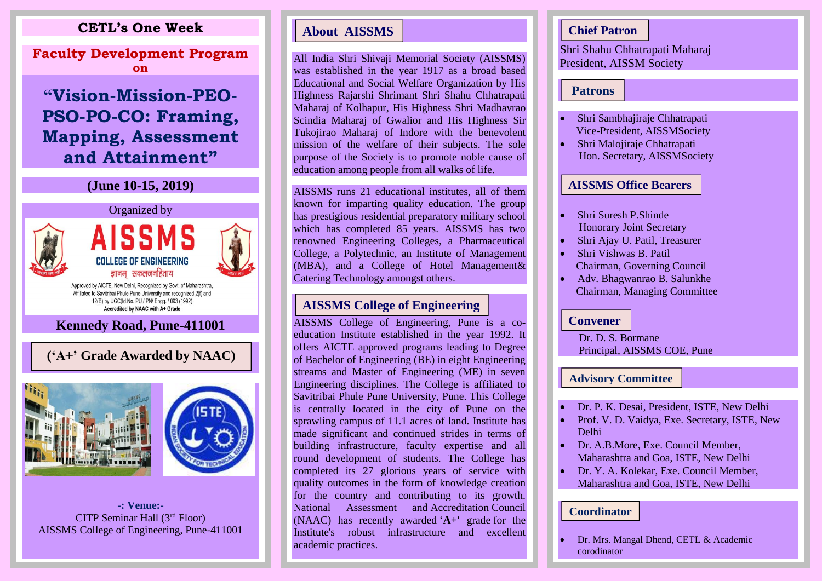# **CETL's One Week**

**Faculty Development Program on**

# **Mapping, Assessment "Vision-Mission-PEO-PSO-PO-CO: Framing, and Attainment"**

# **(June 10-15, 2019)**



Approved by AICTE, New Delhi, Recognized by Govt. of Maharashtra, Affiliated to Savitribai Phule Pune University and recognized 2(f) and 12(B) by UGC(Id.No. PU / PN/ Engg. / 093 (1992) Accredited by NAAC with A+ Grade

# **Kennedy Road, Pune-411001**



**-: Venue:-** CITP Seminar Hall (3rd Floor)

All India Shri Shivaji Memorial Society (AISSMS) was established in the year 1917 as a broad based Educational and Social Welfare Organization by His Highness Rajarshi Shrimant Shri Shahu Chhatrapati Maharaj of Kolhapur, His Highness Shri Madhavrao Scindia Maharaj of Gwalior and His Highness Sir Tukojirao Maharaj of Indore with the benevolent mission of the welfare of their subjects. The sole purpose of the Society is to promote noble cause of education among people from all walks of life.

AISSMS runs 21 educational institutes, all of them known for imparting quality education. The group has prestigious residential preparatory military school which has completed 85 years. AISSMS has two renowned Engineering Colleges, a Pharmaceutical College, a Polytechnic, an Institute of Management (MBA), and a College of Hotel Management& Catering Technology amongst others.

AISSMS College of Engineering, Pune is a coeducation Institute established in the year 1992. It offers AICTE approved programs leading to Degree of Bachelor of Engineering (BE) in eight Engineering streams and Master of Engineering (ME) in seven Engineering disciplines. The College is affiliated to Savitribai Phule Pune University, Pune. This College is centrally located in the city of Pune on the sprawling campus of 11.1 acres of land. Institute has made significant and continued strides in terms of building infrastructure, faculty expertise and all round development of students. The College has completed its 27 glorious years of service with quality outcomes in the form of knowledge creation for the country and contributing to its growth. National Assessment and Accreditation Council (NAAC) has recently awarded '**A+'** grade for the Institute's robust infrastructure and excellent **Example 18 About AISSMS**<br>
All India Shri Shivaji Memorial Society<br>
was established in the year 1917 as a bi<br>
Educational and Social Welfare Organizat<br>
Highness Rajarshi Shriniant Shri Shahu College Maharaj of Covalior and

Shri Shahu Chhatrapati Maharaj President, AISSM Society **Chief Patron**<br> **Patrons**<br> **Patrons**<br> **Patrons**<br> **Computed Chief Patrons**<br> **Computed Chief Patrons**<br> **Computed Chief Patrons**<br> **AISSMS Office Bearers**<br> **Computed Bearers**<br>
Shri Suresh P.Shinde<br>
Honorary Joint Secretary<br>
Sh

- Shri Sambhajiraje Chhatrapati Vice-President, AISSMSociety
- Shri Malojiraje Chhatrapati Hon. Secretary, AISSMSociety

- Shri Suresh P.Shinde Honorary Joint Secretary
- Shri Ajay U. Patil, Treasurer
- Shri Vishwas B. Patil Chairman, Governing Council
- Adv. Bhagwanrao B. Salunkhe Chairman, Managing Committee

Dr. D. S. Bormane Principal, AISSMS COE, Pune

### **Advisory Committee**

- Dr. P. K. Desai, President, ISTE, New Delhi
- Prof. V. D. Vaidya, Exe. Secretary, ISTE, New Delhi
- Dr. A.B.More, Exe. Council Member, Maharashtra and Goa, ISTE, New Delhi
- Dr. Y. A. Kolekar, Exe. Council Member, Maharashtra and Goa, ISTE, New Delhi

### **Coordinator**

• Dr. Mrs. Mangal Dhend, CETL & Academic